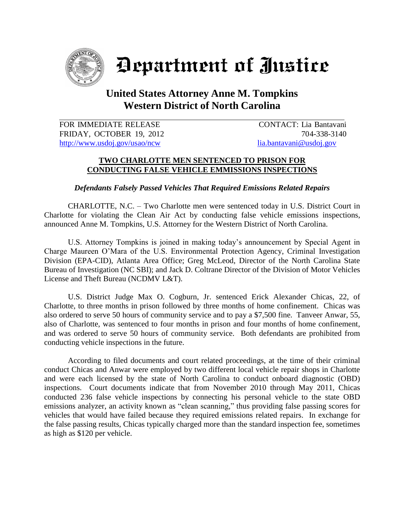

Department of Justice

## **United States Attorney Anne M. Tompkins Western District of North Carolina**

FOR IMMEDIATE RELEASE CONTACT: Lia Bantavani FRIDAY, OCTOBER 19, 2012 704-338-3140 [http://www.usdoj.gov/usao/ncw lia.bantavani@usdoj.gov](http://www.usdoj.gov/usao/ncw)

## **TWO CHARLOTTE MEN SENTENCED TO PRISON FOR CONDUCTING FALSE VEHICLE EMMISSIONS INSPECTIONS**

*Defendants Falsely Passed Vehicles That Required Emissions Related Repairs*

CHARLOTTE, N.C. – Two Charlotte men were sentenced today in U.S. District Court in Charlotte for violating the Clean Air Act by conducting false vehicle emissions inspections, announced Anne M. Tompkins, U.S. Attorney for the Western District of North Carolina.

U.S. Attorney Tompkins is joined in making today's announcement by Special Agent in Charge Maureen O'Mara of the U.S. Environmental Protection Agency, Criminal Investigation Division (EPA-CID), Atlanta Area Office; Greg McLeod, Director of the North Carolina State Bureau of Investigation (NC SBI); and Jack D. Coltrane Director of the Division of Motor Vehicles License and Theft Bureau (NCDMV L&T).

U.S. District Judge Max O. Cogburn, Jr. sentenced Erick Alexander Chicas, 22, of Charlotte, to three months in prison followed by three months of home confinement. Chicas was also ordered to serve 50 hours of community service and to pay a \$7,500 fine. Tanveer Anwar, 55, also of Charlotte, was sentenced to four months in prison and four months of home confinement, and was ordered to serve 50 hours of community service. Both defendants are prohibited from conducting vehicle inspections in the future.

According to filed documents and court related proceedings, at the time of their criminal conduct Chicas and Anwar were employed by two different local vehicle repair shops in Charlotte and were each licensed by the state of North Carolina to conduct onboard diagnostic (OBD) inspections. Court documents indicate that from November 2010 through May 2011, Chicas conducted 236 false vehicle inspections by connecting his personal vehicle to the state OBD emissions analyzer, an activity known as "clean scanning," thus providing false passing scores for vehicles that would have failed because they required emissions related repairs. In exchange for the false passing results, Chicas typically charged more than the standard inspection fee, sometimes as high as \$120 per vehicle.